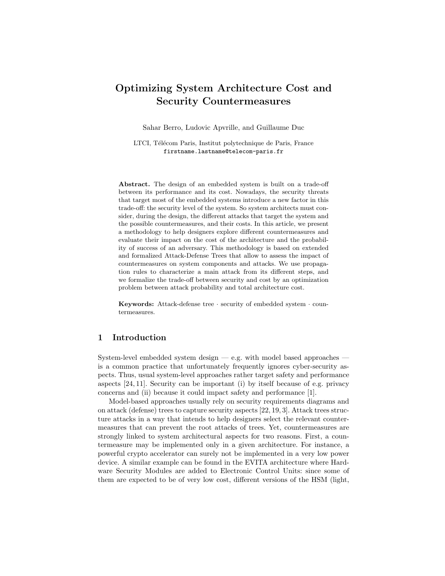# Optimizing System Architecture Cost and Security Countermeasures

Sahar Berro, Ludovic Apvrille, and Guillaume Duc

LTCI, Télécom Paris, Institut polytechnique de Paris, France firstname.lastname@telecom-paris.fr

Abstract. The design of an embedded system is built on a trade-off between its performance and its cost. Nowadays, the security threats that target most of the embedded systems introduce a new factor in this trade-off: the security level of the system. So system architects must consider, during the design, the different attacks that target the system and the possible countermeasures, and their costs. In this article, we present a methodology to help designers explore different countermeasures and evaluate their impact on the cost of the architecture and the probability of success of an adversary. This methodology is based on extended and formalized Attack-Defense Trees that allow to assess the impact of countermeasures on system components and attacks. We use propagation rules to characterize a main attack from its different steps, and we formalize the trade-off between security and cost by an optimization problem between attack probability and total architecture cost.

Keywords: Attack-defense tree · security of embedded system · countermeasures.

## 1 Introduction

System-level embedded system design  $-$  e.g. with model based approaches  $$ is a common practice that unfortunately frequently ignores cyber-security aspects. Thus, usual system-level approaches rather target safety and performance aspects [24, 11]. Security can be important (i) by itself because of e.g. privacy concerns and (ii) because it could impact safety and performance [1].

Model-based approaches usually rely on security requirements diagrams and on attack (defense) trees to capture security aspects [22, 19, 3]. Attack trees structure attacks in a way that intends to help designers select the relevant countermeasures that can prevent the root attacks of trees. Yet, countermeasures are strongly linked to system architectural aspects for two reasons. First, a countermeasure may be implemented only in a given architecture. For instance, a powerful crypto accelerator can surely not be implemented in a very low power device. A similar example can be found in the EVITA architecture where Hardware Security Modules are added to Electronic Control Units: since some of them are expected to be of very low cost, different versions of the HSM (light,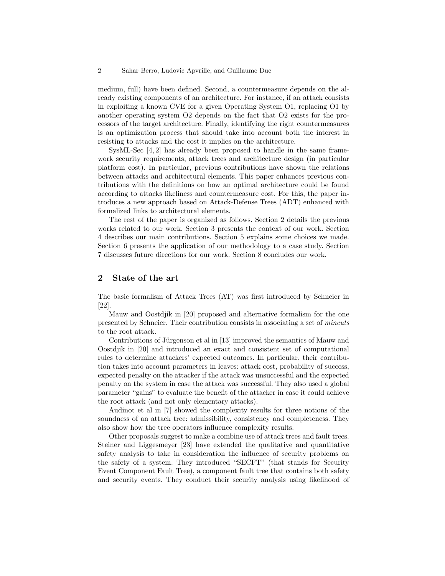medium, full) have been defined. Second, a countermeasure depends on the already existing components of an architecture. For instance, if an attack consists in exploiting a known CVE for a given Operating System O1, replacing O1 by another operating system O2 depends on the fact that O2 exists for the processors of the target architecture. Finally, identifying the right countermeasures is an optimization process that should take into account both the interest in resisting to attacks and the cost it implies on the architecture.

SysML-Sec [4, 2] has already been proposed to handle in the same framework security requirements, attack trees and architecture design (in particular platform cost). In particular, previous contributions have shown the relations between attacks and architectural elements. This paper enhances previous contributions with the definitions on how an optimal architecture could be found according to attacks likeliness and countermeasure cost. For this, the paper introduces a new approach based on Attack-Defense Trees (ADT) enhanced with formalized links to architectural elements.

The rest of the paper is organized as follows. Section 2 details the previous works related to our work. Section 3 presents the context of our work. Section 4 describes our main contributions. Section 5 explains some choices we made. Section 6 presents the application of our methodology to a case study. Section 7 discusses future directions for our work. Section 8 concludes our work.

# 2 State of the art

The basic formalism of Attack Trees (AT) was first introduced by Schneier in [22].

Mauw and Oostdjik in [20] proposed and alternative formalism for the one presented by Schneier. Their contribution consists in associating a set of mincuts to the root attack.

Contributions of Jürgenson et al in [13] improved the semantics of Mauw and Oostdjik in [20] and introduced an exact and consistent set of computational rules to determine attackers' expected outcomes. In particular, their contribution takes into account parameters in leaves: attack cost, probability of success, expected penalty on the attacker if the attack was unsuccessful and the expected penalty on the system in case the attack was successful. They also used a global parameter "gains" to evaluate the benefit of the attacker in case it could achieve the root attack (and not only elementary attacks).

Audinot et al in [7] showed the complexity results for three notions of the soundness of an attack tree: admissibility, consistency and completeness. They also show how the tree operators influence complexity results.

Other proposals suggest to make a combine use of attack trees and fault trees. Steiner and Liggesmeyer [23] have extended the qualitative and quantitative safety analysis to take in consideration the influence of security problems on the safety of a system. They introduced "SECFT" (that stands for Security Event Component Fault Tree), a component fault tree that contains both safety and security events. They conduct their security analysis using likelihood of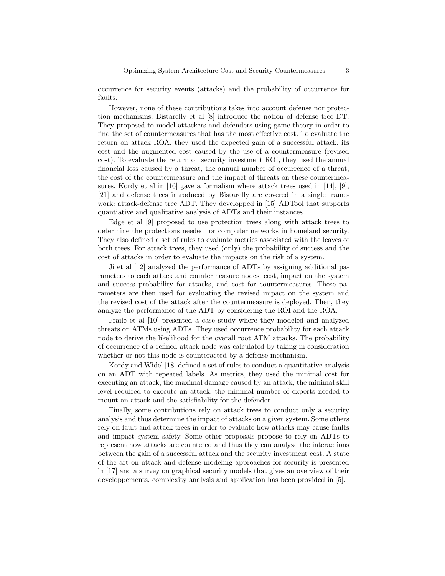occurrence for security events (attacks) and the probability of occurrence for faults.

However, none of these contributions takes into account defense nor protection mechanisms. Bistarelly et al [8] introduce the notion of defense tree DT. They proposed to model attackers and defenders using game theory in order to find the set of countermeasures that has the most effective cost. To evaluate the return on attack ROA, they used the expected gain of a successful attack, its cost and the augmented cost caused by the use of a countermeasure (revised cost). To evaluate the return on security investment ROI, they used the annual financial loss caused by a threat, the annual number of occurrence of a threat, the cost of the countermeasure and the impact of threats on these countermeasures. Kordy et al in [16] gave a formalism where attack trees used in [14], [9], [21] and defense trees introduced by Bistarelly are covered in a single framework: attack-defense tree ADT. They developped in [15] ADTool that supports quantiative and qualitative analysis of ADTs and their instances.

Edge et al [9] proposed to use protection trees along with attack trees to determine the protections needed for computer networks in homeland security. They also defined a set of rules to evaluate metrics associated with the leaves of both trees. For attack trees, they used (only) the probability of success and the cost of attacks in order to evaluate the impacts on the risk of a system.

Ji et al [12] analyzed the performance of ADTs by assigning additional parameters to each attack and countermeasure nodes: cost, impact on the system and success probability for attacks, and cost for countermeasures. These parameters are then used for evaluating the revised impact on the system and the revised cost of the attack after the countermeasure is deployed. Then, they analyze the performance of the ADT by considering the ROI and the ROA.

Fraile et al [10] presented a case study where they modeled and analyzed threats on ATMs using ADTs. They used occurrence probability for each attack node to derive the likelihood for the overall root ATM attacks. The probability of occurrence of a refined attack node was calculated by taking in consideration whether or not this node is counteracted by a defense mechanism.

Kordy and Widel [18] defined a set of rules to conduct a quantitative analysis on an ADT with repeated labels. As metrics, they used the minimal cost for executing an attack, the maximal damage caused by an attack, the minimal skill level required to execute an attack, the minimal number of experts needed to mount an attack and the satisfiability for the defender.

Finally, some contributions rely on attack trees to conduct only a security analysis and thus determine the impact of attacks on a given system. Some others rely on fault and attack trees in order to evaluate how attacks may cause faults and impact system safety. Some other proposals propose to rely on ADTs to represent how attacks are countered and thus they can analyze the interactions between the gain of a successful attack and the security investment cost. A state of the art on attack and defense modeling approaches for security is presented in [17] and a survey on graphical security models that gives an overview of their developpements, complexity analysis and application has been provided in [5].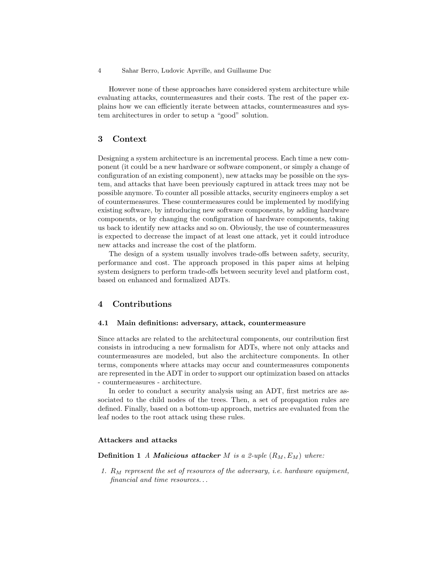However none of these approaches have considered system architecture while evaluating attacks, countermeasures and their costs. The rest of the paper explains how we can efficiently iterate between attacks, countermeasures and system architectures in order to setup a "good" solution.

# 3 Context

Designing a system architecture is an incremental process. Each time a new component (it could be a new hardware or software component, or simply a change of configuration of an existing component), new attacks may be possible on the system, and attacks that have been previously captured in attack trees may not be possible anymore. To counter all possible attacks, security engineers employ a set of countermeasures. These countermeasures could be implemented by modifying existing software, by introducing new software components, by adding hardware components, or by changing the configuration of hardware components, taking us back to identify new attacks and so on. Obviously, the use of countermeasures is expected to decrease the impact of at least one attack, yet it could introduce new attacks and increase the cost of the platform.

The design of a system usually involves trade-offs between safety, security, performance and cost. The approach proposed in this paper aims at helping system designers to perform trade-offs between security level and platform cost, based on enhanced and formalized ADTs.

# 4 Contributions

#### 4.1 Main definitions: adversary, attack, countermeasure

Since attacks are related to the architectural components, our contribution first consists in introducing a new formalism for ADTs, where not only attacks and countermeasures are modeled, but also the architecture components. In other terms, components where attacks may occur and countermeasures components are represented in the ADT in order to support our optimization based on attacks - countermeasures - architecture.

In order to conduct a security analysis using an ADT, first metrics are associated to the child nodes of the trees. Then, a set of propagation rules are defined. Finally, based on a bottom-up approach, metrics are evaluated from the leaf nodes to the root attack using these rules.

## Attackers and attacks

## **Definition 1** A **Malicious attacker** M is a 2-uple  $(R_M, E_M)$  where:

1.  $R_M$  represent the set of resources of the adversary, i.e. hardware equipment, financial and time resources. . .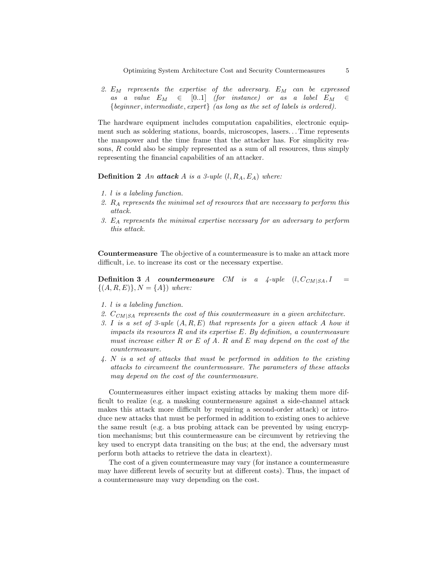2.  $E_M$  represents the expertise of the adversary.  $E_M$  can be expressed as a value  $E_M \in [0..1]$  (for instance) or as a label  $E_M \in$ {beginner , intermediate, expert} (as long as the set of labels is ordered).

The hardware equipment includes computation capabilities, electronic equipment such as soldering stations, boards, microscopes, lasers. . . Time represents the manpower and the time frame that the attacker has. For simplicity reasons,  $R$  could also be simply represented as a sum of all resources, thus simply representing the financial capabilities of an attacker.

#### **Definition 2** An **attack** A is a 3-uple  $(l, R_A, E_A)$  where:

- 1. l is a labeling function.
- 2.  $R_A$  represents the minimal set of resources that are necessary to perform this attack.
- 3.  $E_A$  represents the minimal expertise necessary for an adversary to perform this attack.

Countermeasure The objective of a countermeasure is to make an attack more difficult, i.e. to increase its cost or the necessary expertise.

**Definition 3** A countermeasure CM is a 4-uple  $(l, C_{CM|SA}, I =$  $\{(A, R, E)\}, N = \{A\}$  where:

- 1. l is a labeling function.
- 2.  $C_{CM|SA}$  represents the cost of this countermeasure in a given architecture.
- 3. I is a set of 3-uple  $(A, R, E)$  that represents for a given attack A how it impacts its resources  $R$  and its expertise  $E$ . By definition, a countermeasure must increase either R or E of A. R and E may depend on the cost of the countermeasure.
- 4. N is a set of attacks that must be performed in addition to the existing attacks to circumvent the countermeasure. The parameters of these attacks may depend on the cost of the countermeasure.

Countermeasures either impact existing attacks by making them more difficult to realize (e.g. a masking countermeasure against a side-channel attack makes this attack more difficult by requiring a second-order attack) or introduce new attacks that must be performed in addition to existing ones to achieve the same result (e.g. a bus probing attack can be prevented by using encryption mechanisms; but this countermeasure can be circumvent by retrieving the key used to encrypt data transiting on the bus; at the end, the adversary must perform both attacks to retrieve the data in cleartext).

The cost of a given countermeasure may vary (for instance a countermeasure may have different levels of security but at different costs). Thus, the impact of a countermeasure may vary depending on the cost.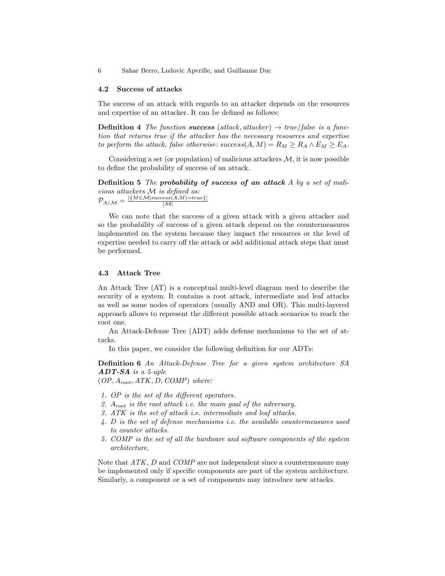#### 4.2 Success of attacks

The success of an attack with regards to an attacker depends on the resources and expertise of an attacker. It can be defined as follows:

**Definition 4** The function **success** (attack, attacker)  $\rightarrow$  true/false is a function that returns true if the attacker has the necessary resources and expertise to perform the attack, false otherwise: success(A, M) =  $R_M \ge R_A \wedge E_M \ge E_A$ .

Considering a set (or population) of malicious attackers  $\mathcal{M}$ , it is now possible to define the probability of success of an attack.

Definition 5 The probability of success of an attack A by a set of malicious attackers M is defined as:  $\mathcal{P}_{A/\mathcal{M}} = \frac{|\{M \in \mathcal{M} | success(A, M) = true\}|}{|\mathcal{M}|}$  $|\mathcal{M}|$ 

We can note that the success of a given attack with a given attacker and so the probability of success of a given attack depend on the countermeasures implemented on the system because they impact the resources or the level of expertise needed to carry off the attack or add additional attack steps that must be performed.

## 4.3 Attack Tree

An Attack Tree (AT) is a conceptual multi-level diagram used to describe the security of a system. It contains a root attack, intermediate and leaf attacks as well as some nodes of operators (usually AND and OR). This multi-layered approach allows to represent the different possible attack scenarios to reach the root one.

An Attack-Defense Tree (ADT) adds defense mechanisms to the set of attacks.

In this paper, we consider the following definition for our ADTs:

Definition 6 An Attack-Defense Tree for a given system architecture SA ADT-SA is a 5-uple

 $(OP, A_{root}, ATK, D, COMP)$  where:

- 1. OP is the set of the different operators.
- 2.  $A_{root}$  is the root attack i.e. the main goal of the adversary.
- 3. ATK is the set of attack i.e. intermediate and leaf attacks.
- 4. D is the set of defense mechanisms i.e. the available countermeasures used to counter attacks.
- 5. COMP is the set of all the hardware and software components of the system architecture.

Note that  $ATK$ , D and COMP are not independent since a countermeasure may be implemented only if specific components are part of the system architecture. Similarly, a component or a set of components may introduce new attacks.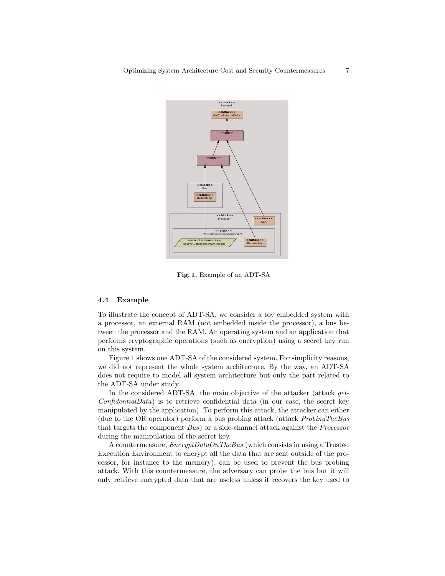

Fig. 1. Example of an ADT-SA

## 4.4 Example

To illustrate the concept of ADT-SA, we consider a toy embedded system with a processor, an external RAM (not embedded inside the processor), a bus between the processor and the RAM. An operating system and an application that performs cryptographic operations (such as encryption) using a secret key run on this system.

Figure 1 shows one ADT-SA of the considered system. For simplicity reasons, we did not represent the whole system architecture. By the way, an ADT-SA does not require to model all system architecture but only the part related to the ADT-SA under study.

In the considered ADT-SA, the main objective of the attacker (attack get- $ConfdentialData)$  is to retrieve confidential data (in our case, the secret key manipulated by the application). To perform this attack, the attacker can either (due to the OR operator) perform a bus probing attack (attack ProbingTheBus that targets the component Bus) or a side-channel attack against the Processor during the manipulation of the secret key.

A countermeasure, EncryptDataOnTheBus (which consists in using a Trusted Execution Environment to encrypt all the data that are sent outside of the processor, for instance to the memory), can be used to prevent the bus probing attack. With this countermeasure, the adversary can probe the bus but it will only retrieve encrypted data that are useless unless it recovers the key used to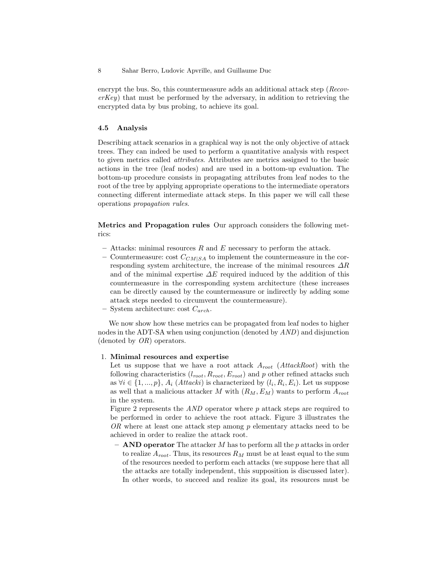encrypt the bus. So, this countermeasure adds an additional attack step (Recov $erKey$ ) that must be performed by the adversary, in addition to retrieving the encrypted data by bus probing, to achieve its goal.

#### 4.5 Analysis

Describing attack scenarios in a graphical way is not the only objective of attack trees. They can indeed be used to perform a quantitative analysis with respect to given metrics called attributes. Attributes are metrics assigned to the basic actions in the tree (leaf nodes) and are used in a bottom-up evaluation. The bottom-up procedure consists in propagating attributes from leaf nodes to the root of the tree by applying appropriate operations to the intermediate operators connecting different intermediate attack steps. In this paper we will call these operations propagation rules.

Metrics and Propagation rules Our approach considers the following metrics:

- Attacks: minimal resources  $R$  and  $E$  necessary to perform the attack.
- Countermeasure: cost  $C_{CM|SA}$  to implement the countermeasure in the corresponding system architecture, the increase of the minimal resources  $\Delta R$ and of the minimal expertise  $\Delta E$  required induced by the addition of this countermeasure in the corresponding system architecture (these increases can be directly caused by the countermeasure or indirectly by adding some attack steps needed to circumvent the countermeasure).
- System architecture: cost  $C_{arch}$ .

We now show how these metrics can be propagated from leaf nodes to higher nodes in the ADT-SA when using conjunction (denoted by AND) and disjunction (denoted by OR) operators.

#### 1. Minimal resources and expertise

Let us suppose that we have a root attack  $A_{root}$  ( $AttrackRoot$ ) with the following characteristics  $(l_{root}, R_{root}, E_{root})$  and p other refined attacks such as  $\forall i \in \{1, ..., p\}, A_i \ (Attacki)$  is characterized by  $(l_i, R_i, E_i)$ . Let us suppose as well that a malicious attacker M with  $(R_M, E_M)$  wants to perform  $A_{root}$ in the system.

Figure 2 represents the AND operator where p attack steps are required to be performed in order to achieve the root attack. Figure 3 illustrates the  $OR$  where at least one attack step among p elementary attacks need to be achieved in order to realize the attack root.

 $-$  AND operator The attacker M has to perform all the p attacks in order to realize  $A_{root}$ . Thus, its resources  $R_M$  must be at least equal to the sum of the resources needed to perform each attacks (we suppose here that all the attacks are totally independent, this supposition is discussed later). In other words, to succeed and realize its goal, its resources must be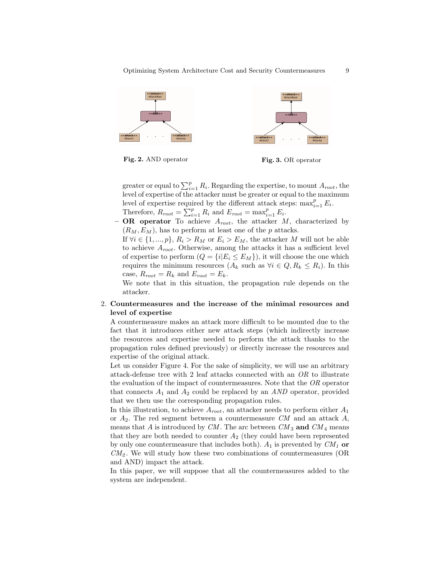

Fig. 2. AND operator



greater or equal to  $\sum_{i=1}^{p} R_i$ . Regarding the expertise, to mount  $A_{root}$ , the level of expertise of the attacker must be greater or equal to the maximum level of expertise required by the different attack steps:  $\max_{i=1}^{p} E_i$ . Therefore,  $R_{root} = \sum_{i=1}^{p} R_i$  and  $E_{root} = \max_{i=1}^{p} E_i$ .

**OR** operator To achieve  $A_{root}$ , the attacker M, characterized by  $(R_M, E_M)$ , has to perform at least one of the p attacks.

If  $\forall i \in \{1, ..., p\}, R_i > R_M$  or  $E_i > E_M$ , the attacker M will not be able to achieve  $A_{root}$ . Otherwise, among the attacks it has a sufficient level of expertise to perform  $(Q = \{i | E_i \le E_M\})$ , it will choose the one which requires the minimum resources  $(A_k \text{ such as } \forall i \in Q, R_k \leq R_i)$ . In this case,  $R_{root} = R_k$  and  $E_{root} = E_k$ .

We note that in this situation, the propagation rule depends on the attacker.

## 2. Countermeasures and the increase of the minimal resources and level of expertise

A countermeasure makes an attack more difficult to be mounted due to the fact that it introduces either new attack steps (which indirectly increase the resources and expertise needed to perform the attack thanks to the propagation rules defined previously) or directly increase the resources and expertise of the original attack.

Let us consider Figure 4. For the sake of simplicity, we will use an arbitrary attack-defense tree with 2 leaf attacks connected with an OR to illustrate the evaluation of the impact of countermeasures. Note that the OR operator that connects  $A_1$  and  $A_2$  could be replaced by an  $AND$  operator, provided that we then use the corresponding propagation rules.

In this illustration, to achieve  $A_{root}$ , an attacker needs to perform either  $A_1$ or  $A_2$ . The red segment between a countermeasure CM and an attack A, means that A is introduced by  $CM$ . The arc between  $CM_3$  and  $CM_4$  means that they are both needed to counter  $A_2$  (they could have been represented by only one countermeasure that includes both).  $A_1$  is prevented by  $CM_1$  or  $CM<sub>2</sub>$ . We will study how these two combinations of countermeasures (OR and AND) impact the attack.

In this paper, we will suppose that all the countermeasures added to the system are independent.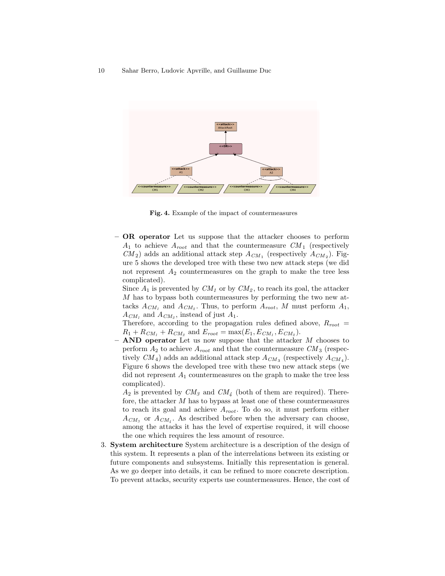

Fig. 4. Example of the impact of countermeasures

– OR operator Let us suppose that the attacker chooses to perform  $A_1$  to achieve  $A_{root}$  and that the countermeasure  $CM_1$  (respectively  $CM<sub>2</sub>$ ) adds an additional attack step  $A<sub>CM<sub>1</sub></sub>$  (respectively  $A<sub>CM<sub>2</sub></sub>$ ). Figure 5 shows the developed tree with these two new attack steps (we did not represent  $A_2$  countermeasures on the graph to make the tree less complicated).

Since  $A_1$  is prevented by  $CM_1$  or by  $CM_2$ , to reach its goal, the attacker M has to bypass both countermeasures by performing the two new attacks  $A_{CM_1}$  and  $A_{CM_2}$ . Thus, to perform  $A_{root}$ , M must perform  $A_1$ ,  $A_{CM_1}$  and  $A_{CM_2}$ , instead of just  $A_1$ .

Therefore, according to the propagation rules defined above,  $R_{root}$  =  $R_1 + R_{CM_1} + R_{CM_2}$  and  $E_{root} = \max(E_1, E_{CM_1}, E_{CM_2}).$ 

 $-$  AND operator Let us now suppose that the attacker  $M$  chooses to perform  $A_2$  to achieve  $A_{root}$  and that the countermeasure  $CM_3$  (respectively  $CM_4$ ) adds an additional attack step  $A_{CM_3}$  (respectively  $A_{CM_4}$ ). Figure 6 shows the developed tree with these two new attack steps (we did not represent  $A_1$  countermeasures on the graph to make the tree less complicated).

 $A_2$  is prevented by  $CM_3$  and  $CM_4$  (both of them are required). Therefore, the attacker M has to bypass at least one of these countermeasures to reach its goal and achieve  $A_{root}$ . To do so, it must perform either  $A_{CM_3}$  or  $A_{CM_4}$ . As described before when the adversary can choose, among the attacks it has the level of expertise required, it will choose the one which requires the less amount of resource.

3. System architecture System architecture is a description of the design of this system. It represents a plan of the interrelations between its existing or future components and subsystems. Initially this representation is general. As we go deeper into details, it can be refined to more concrete description. To prevent attacks, security experts use countermeasures. Hence, the cost of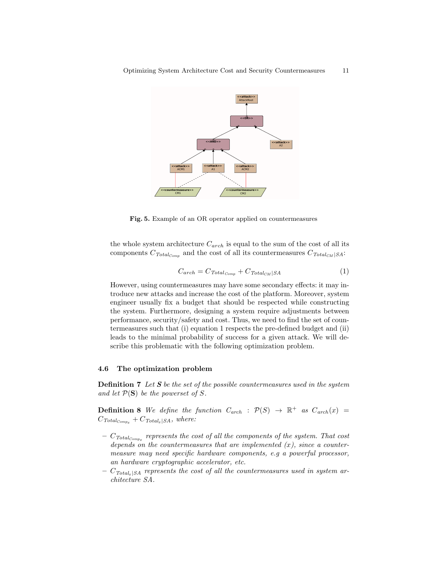

Fig. 5. Example of an OR operator applied on countermeasures

the whole system architecture  $C_{arch}$  is equal to the sum of the cost of all its components  $C_{TotalComp}$  and the cost of all its countermeasures  $C_{Total_{CM} |SA}$ :

$$
C_{arch} = C_{Total_{Comp}} + C_{Total_{CM}|SA}
$$
\n(1)

However, using countermeasures may have some secondary effects: it may introduce new attacks and increase the cost of the platform. Moreover, system engineer usually fix a budget that should be respected while constructing the system. Furthermore, designing a system require adjustments between performance, security/safety and cost. Thus, we need to find the set of countermeasures such that (i) equation 1 respects the pre-defined budget and (ii) leads to the minimal probability of success for a given attack. We will describe this problematic with the following optimization problem.

### 4.6 The optimization problem

**Definition 7** Let  $S$  be the set of the possible countermeasures used in the system and let  $\mathcal{P}(\mathbf{S})$  be the powerset of S.

**Definition 8** We define the function  $C_{arch}$  :  $\mathcal{P}(S) \rightarrow \mathbb{R}^+$  as  $C_{arch}(x) =$  $C_{Total_{Comp_{x}}} + C_{Total_{x}|SA}$ , where:

- $C_{Total_{Comp_x}}$  represents the cost of all the components of the system. That cost depends on the countermeasures that are implemented  $(x)$ , since a countermeasure may need specific hardware components, e.g a powerful processor, an hardware cryptographic accelerator, etc.
- $C_{Total_x|SA}$  represents the cost of all the countermeasures used in system architecture SA.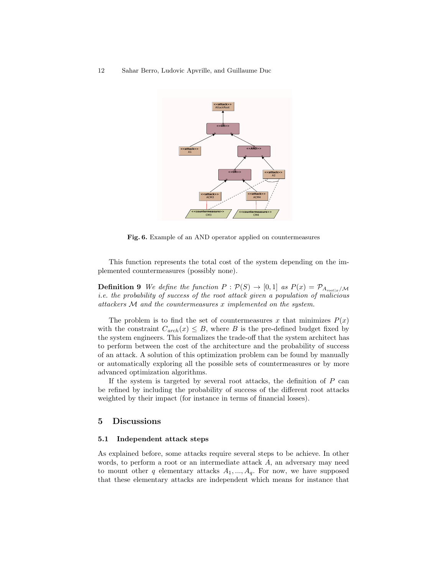

Fig. 6. Example of an AND operator applied on countermeasures

This function represents the total cost of the system depending on the implemented countermeasures (possibly none).

**Definition 9** We define the function  $P : \mathcal{P}(S) \to [0,1]$  as  $P(x) = \mathcal{P}_{A_{root}|x}/\mathcal{M}$ i.e. the probability of success of the root attack given a population of malicious attackers M and the countermeasures x implemented on the system.

The problem is to find the set of countermeasures x that minimizes  $P(x)$ with the constraint  $C_{arch}(x) \leq B$ , where B is the pre-defined budget fixed by the system engineers. This formalizes the trade-off that the system architect has to perform between the cost of the architecture and the probability of success of an attack. A solution of this optimization problem can be found by manually or automatically exploring all the possible sets of countermeasures or by more advanced optimization algorithms.

If the system is targeted by several root attacks, the definition of  $P$  can be refined by including the probability of success of the different root attacks weighted by their impact (for instance in terms of financial losses).

# 5 Discussions

## 5.1 Independent attack steps

As explained before, some attacks require several steps to be achieve. In other words, to perform a root or an intermediate attack A, an adversary may need to mount other q elementary attacks  $A_1, ..., A_q$ . For now, we have supposed that these elementary attacks are independent which means for instance that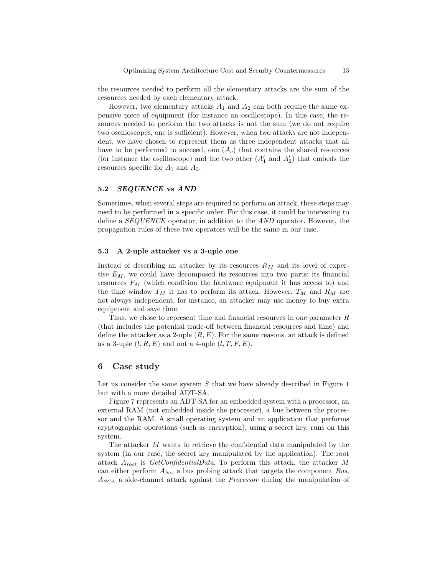the resources needed to perform all the elementary attacks are the sum of the resources needed by each elementary attack.

However, two elementary attacks  $A_1$  and  $A_2$  can both require the same expensive piece of equipment (for instance an oscilloscope). In this case, the resources needed to perform the two attacks is not the sum (we do not require two oscilloscopes, one is sufficient). However, when two attacks are not independent, we have chosen to represent them as three independent attacks that all have to be performed to succeed, one  $(A<sub>c</sub>)$  that contains the shared resources (for instance the oscilloscope) and the two other  $(A'_1 \text{ and } A'_2)$  that embeds the resources specific for  $A_1$  and  $A_2$ .

### 5.2 SEQUENCE vs AND

Sometimes, when several steps are required to perform an attack, these steps may need to be performed in a specific order. For this case, it could be interesting to define a SEQUENCE operator, in addition to the AND operator. However, the propagation rules of these two operators will be the same in our case.

#### 5.3 A 2-uple attacker vs a 3-uple one

Instead of describing an attacker by its resources  $R_M$  and its level of expertise  $E_M$ , we could have decomposed its resources into two parts: its financial resources  $F_M$  (which condition the hardware equipment it has access to) and the time window  $T_M$  it has to perform its attack. However,  $T_M$  and  $R_M$  are not always independent, for instance, an attacker may use money to buy extra equipment and save time.

Thus, we chose to represent time and financial resources in one parameter R (that includes the potential trade-off between financial resources and time) and define the attacker as a 2-uple  $(R, E)$ . For the same reasons, an attack is defined as a 3-uple  $(l, R, E)$  and not a 4-uple  $(l, T, F, E)$ .

#### 6 Case study

Let us consider the same system  $S$  that we have already described in Figure 1 but with a more detailed ADT-SA.

Figure 7 represents an ADT-SA for an embedded system with a processor, an external RAM (not embedded inside the processor), a bus between the processor and the RAM. A small operating system and an application that performs cryptographic operations (such as encryption), using a secret key, runs on this system.

The attacker M wants to retrieve the confidential data manipulated by the system (in our case, the secret key manipulated by the application). The root attack  $A_{root}$  is  $GetConfidentialData$ . To perform this attack, the attacker M can either perform  $A_{bus}$  a bus probing attack that targets the component Bus,  $A_{SCA}$  a side-channel attack against the *Processor* during the manipulation of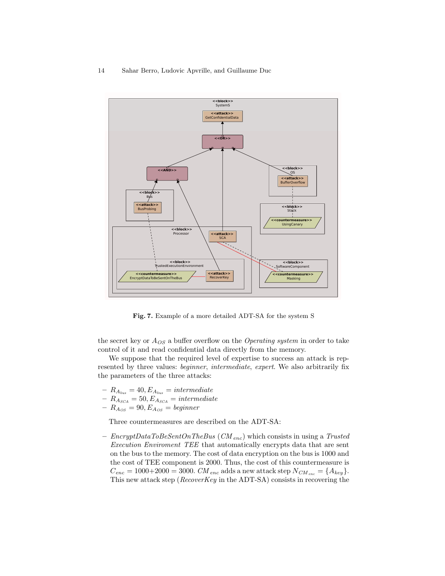

Fig. 7. Example of a more detailed ADT-SA for the system S

the secret key or  $A_{OS}$  a buffer overflow on the *Operating system* in order to take control of it and read confidential data directly from the memory.

We suppose that the required level of expertise to success an attack is represented by three values: beginner, intermediate, expert. We also arbitrarily fix the parameters of the three attacks:

- $R_{A_{bus}} = 40, E_{A_{bus}} = intermediate$
- $-R_{A_{SCA}} = 50, E_{A_{SCA}} = intermediate$
- $-R_{A_{OS}} = 90, E_{A_{OS}} = beginner$

Three countermeasures are described on the ADT-SA:

– EncryptDataToBeSentOnTheBus (CM  $_{enc}$ ) which consists in using a Trusted Execution Enviroment TEE that automatically encrypts data that are sent on the bus to the memory. The cost of data encryption on the bus is 1000 and the cost of TEE component is 2000. Thus, the cost of this countermeasure is  $C_{enc} = 1000+2000 = 3000$ . CM <sub>enc</sub> adds a new attack step  $N_{CM_{enc}} = \{A_{key}\}.$ This new attack step (RecoverKey in the ADT-SA) consists in recovering the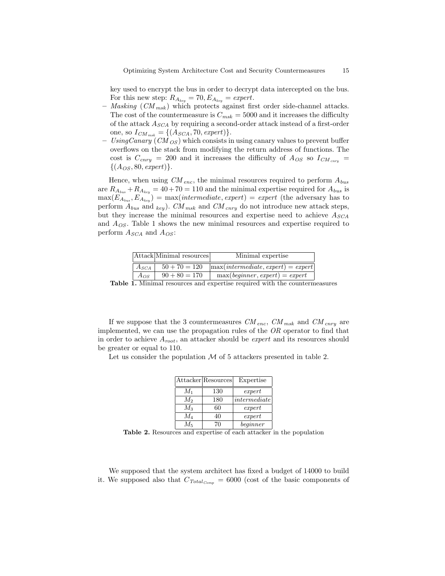key used to encrypt the bus in order to decrypt data intercepted on the bus. For this new step:  $R_{A_{key}} = 70, E_{A_{key}} = expert.$ 

- Masking  $(CM_{msk})$  which protects against first order side-channel attacks. The cost of the countermeasure is  $C_{msk} = 5000$  and it increases the difficulty of the attack  $A_{SCA}$  by requiring a second-order attack instead of a first-order one, so  $I_{CM_{msk}} = \{(A_{SCA}, 70, expert)\}.$
- UsingCanary (CM  $_{OS}$ ) which consists in using canary values to prevent buffer overflows on the stack from modifying the return address of functions. The cost is  $C_{cnry}$  = 200 and it increases the difficulty of  $A_{OS}$  so  $I_{CM_{cnry}}$  =  $\{(A_{OS}, 80, expert)\}.$

Hence, when using  $CM_{\text{enc}}$ , the minimal resources required to perform  $A_{bus}$ are  $R_{A_{bus}} + R_{A_{kev}} = 40 + 70 = 110$  and the minimal expertise required for  $A_{bus}$  is  $\max(E_{A_{bus}}, E_{A_{key}}) = \max(intermediate, expert) = expert$  (the adversary has to perform  $A_{bus}$  and  $_{key}$ ).  $CM_{msk}$  and  $CM_{cnry}$  do not introduce new attack steps, but they increase the minimal resources and expertise need to achieve  $A_{SCA}$ and  $A_{OS}$ . Table 1 shows the new minimal resources and expertise required to perform  $A_{SCA}$  and  $A_{OS}$ :

| Attack Minimal resources |                 | Minimal expertise                             |  |  |
|--------------------------|-----------------|-----------------------------------------------|--|--|
| $A_{SCA}$                | $50 + 70 = 120$ | $ \text{max}(intermediate, expert) = expert $ |  |  |
| $A_{OS}$                 | $90 + 80 = 170$ | $max(beginner, expert) = expert$              |  |  |

Table 1. Minimal resources and expertise required with the countermeasures

If we suppose that the 3 countermeasures  $CM_{enc}$ ,  $CM_{msk}$  and  $CM_{cnry}$  are implemented, we can use the propagation rules of the OR operator to find that in order to achieve  $A_{root}$ , an attacker should be *expert* and its resources should be greater or equal to 110.

Let us consider the population  $\mathcal M$  of 5 attackers presented in table 2.

|         | Attacker Resources | Expertise    |
|---------|--------------------|--------------|
| $M_1$   | 130                | expert       |
| $M_2$   | 180                | intermediate |
| $M_3$   | 60                 | expert       |
| $M_{4}$ | 40                 | expert       |
| $M_5$   | 70                 | beq inner    |

Table 2. Resources and expertise of each attacker in the population

We supposed that the system architect has fixed a budget of 14000 to build it. We supposed also that  $C_{Total_{Comp}} = 6000$  (cost of the basic components of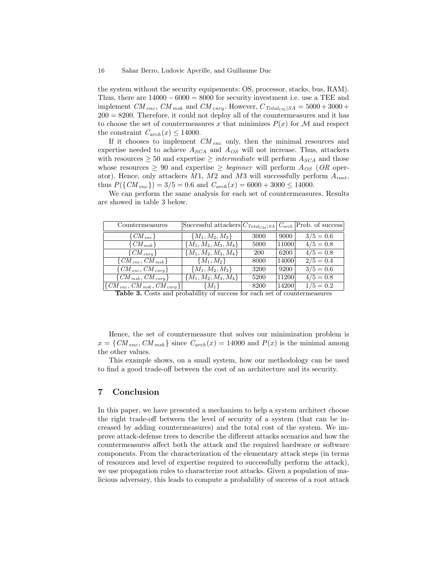the system without the security equipements: OS, processor, stacks, bus, RAM). Thus, there are  $14000 - 6000 = 8000$  for security investment i.e. use a TEE and implement  $CM_{\mathit{enc}}$ ,  $CM_{\mathit{msk}}$  and  $CM_{\mathit{cnry}}$ . However,  $C_{\mathit{Total_{CM}}|\mathit{SA}} = 5000 + 3000 +$  $200 = 8200$ . Therefore, it could not deploy all of the countermeasures and it has to choose the set of countermeasures x that minimizes  $P(x)$  for M and respect the constraint  $C_{arch}(x) \leq 14000$ .

If it chooses to implement  $CM_{enc}$  only, then the minimal resources and expertise needed to achieve  $A_{SCA}$  and  $A_{OS}$  will not increase. Thus, attackers with resources  $\geq 50$  and expertise  $\geq$  *intermediate* will perform  $A_{SCA}$  and those whose resources  $\geq 90$  and expertise  $\geq$  *beginner* will perform  $A_{OS}$  (OR operator). Hence, only attackers  $M1$ ,  $M2$  and  $M3$  will successfully perform  $A_{root}$ , thus  $P({CM_{enc}}) = 3/5 = 0.6$  and  $C_{arch}(x) = 6000 + 3000 \le 14000$ .

| Countermeasures                      | Successful attackers $ C_{Total_{CM} SA} $ |            |       | $C_{arch}$ Prob. of success |
|--------------------------------------|--------------------------------------------|------------|-------|-----------------------------|
| $\{CM_{enc}\}\$                      | ${M_1, M_2, M_3}$                          | 3000       | 9000  | $3/5 = 0.6$                 |
| $\{CM_{msk}\}\$                      | ${M_1, M_2, M_3, M_4}$                     | 5000       | 11000 | $4/5 = 0.8$                 |
| $\{CM_{\text{cnry}}\}\$              | ${M_1, M_2, M_3, M_4}$                     | <b>200</b> | 6200  | $4/5 = 0.8$                 |
| $\{CM_{enc}, CM_{msk}\}\$            | $\{M_1, M_2\}$                             | 8000       | 14000 | $2/5 = 0.4$                 |
| $\{CM_{enc}, CM_{cnrv}\}\$           | ${M_1, M_2, M_3}$                          | 3200       | 9200  | $3/5 = 0.6$                 |
| $\{CM_{msk}, CM_{cnry}\}\$           | ${M_1, M_2, M_3, M_4}$                     | 5200       | 11200 | $4/5 = 0.8$                 |
| $\{CM_{enc}, CM_{msk}, CM_{cnry}\}\$ | ${M_1}$                                    | 8200       | 14200 | $1/5 = 0.2$                 |

We can perform the same analysis for each set of countermeasures. Results are showed in table 3 below.

Table 3. Costs and probability of success for each set of countermeasures

Hence, the set of countermeasure that solves our minimization problem is  $x = \{CM_{enc}, CM_{msk}\}\$  since  $C_{arch}(x) = 14000$  and  $P(x)$  is the minimal among the other values.

This example shows, on a small system, how our methodology can be used to find a good trade-off between the cost of an architecture and its security.

## 7 Conclusion

In this paper, we have presented a mechanism to help a system architect choose the right trade-off between the level of security of a system (that can be increased by adding countermeasures) and the total cost of the system. We improve attack-defense trees to describe the different attacks scenarios and how the countermeasures affect both the attack and the required hardware or software components. From the characterization of the elementary attack steps (in terms of resources and level of expertise required to successfully perform the attack), we use propagation rules to characterize root attacks. Given a population of malicious adversary, this leads to compute a probability of success of a root attack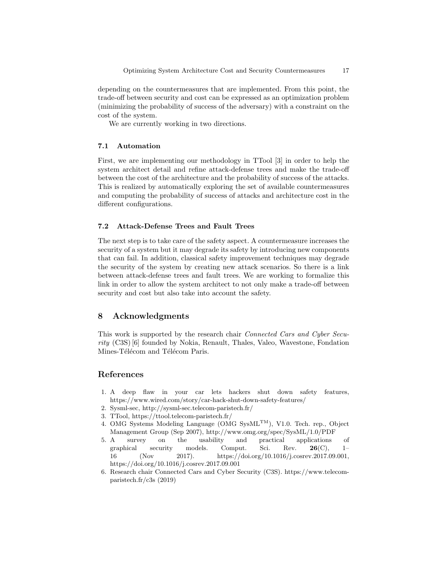depending on the countermeasures that are implemented. From this point, the trade-off between security and cost can be expressed as an optimization problem (minimizing the probability of success of the adversary) with a constraint on the cost of the system.

We are currently working in two directions.

## 7.1 Automation

First, we are implementing our methodology in TTool [3] in order to help the system architect detail and refine attack-defense trees and make the trade-off between the cost of the architecture and the probability of success of the attacks. This is realized by automatically exploring the set of available countermeasures and computing the probability of success of attacks and architecture cost in the different configurations.

## 7.2 Attack-Defense Trees and Fault Trees

The next step is to take care of the safety aspect. A countermeasure increases the security of a system but it may degrade its safety by introducing new components that can fail. In addition, classical safety improvement techniques may degrade the security of the system by creating new attack scenarios. So there is a link between attack-defense trees and fault trees. We are working to formalize this link in order to allow the system architect to not only make a trade-off between security and cost but also take into account the safety.

## 8 Acknowledgments

This work is supported by the research chair Connected Cars and Cyber Security (C3S) [6] founded by Nokia, Renault, Thales, Valeo, Wavestone, Fondation Mines-Télécom and Télécom Paris.

## References

- 1. A deep flaw in your car lets hackers shut down safety features, https://www.wired.com/story/car-hack-shut-down-safety-features/
- 2. Sysml-sec, http://sysml-sec.telecom-paristech.fr/
- 3. TTool, https://ttool.telecom-paristech.fr/
- 4. OMG Systems Modeling Language (OMG SysMLTM), V1.0. Tech. rep., Object Management Group (Sep 2007), http://www.omg.org/spec/SysML/1.0/PDF
- 5. A survey on the usability and practical applications of graphical security models. Comput. Sci. Rev. 26(C), 1– 16 (Nov 2017). https://doi.org/10.1016/j.cosrev.2017.09.001, https://doi.org/10.1016/j.cosrev.2017.09.001
- 6. Research chair Connected Cars and Cyber Security (C3S). https://www.telecomparistech.fr/c3s (2019)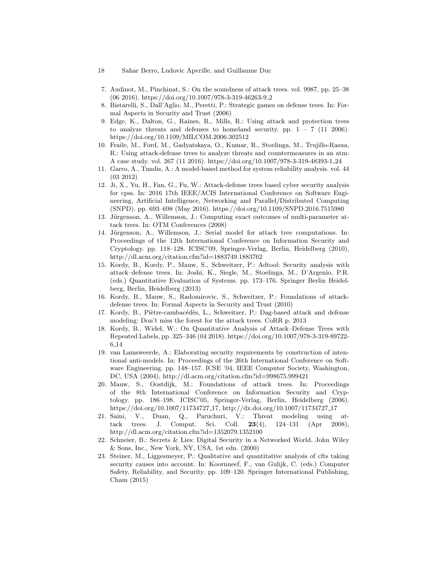- 18 Sahar Berro, Ludovic Apvrille, and Guillaume Duc
- 7. Audinot, M., Pinchinat, S.: On the soundness of attack trees. vol. 9987, pp. 25–38 (06 2016). https://doi.org/10.1007/978-3-319-46263-9 2
- 8. Bistarelli, S., Dall'Aglio, M., Peretti, P.: Strategic games on defense trees. In: Formal Aspects in Security and Trust (2006)
- 9. Edge, K., Dalton, G., Raines, R., Mills, R.: Using attack and protection trees to analyze threats and defenses to homeland security. pp.  $1 - 7$  (11 2006). https://doi.org/10.1109/MILCOM.2006.302512
- 10. Fraile, M., Ford, M., Gadyatskaya, O., Kumar, R., Stoelinga, M., Trujillo-Rasua, R.: Using attack-defense trees to analyze threats and countermeasures in an atm: A case study. vol. 267 (11 2016). https://doi.org/10.1007/978-3-319-48393-1 24
- 11. Garro, A., Tundis, A.: A model-based method for system reliability analysis. vol. 44 (03 2012)
- 12. Ji, X., Yu, H., Fan, G., Fu, W.: Attack-defense trees based cyber security analysis for cpss. In: 2016 17th IEEE/ACIS International Conference on Software Engineering, Artificial Intelligence, Networking and Parallel/Distributed Computing (SNPD). pp. 693–698 (May 2016). https://doi.org/10.1109/SNPD.2016.7515980
- 13. Jürgenson, A., Willemson, J.: Computing exact outcomes of multi-parameter attack trees. In: OTM Conferences (2008)
- 14. Jürgenson, A., Willemson, J.: Serial model for attack tree computations. In: Proceedings of the 12th International Conference on Information Security and Cryptology. pp. 118–128. ICISC'09, Springer-Verlag, Berlin, Heidelberg (2010), http://dl.acm.org/citation.cfm?id=1883749.1883762
- 15. Kordy, B., Kordy, P., Mauw, S., Schweitzer, P.: Adtool: Security analysis with attack–defense trees. In: Joshi, K., Siegle, M., Stoelinga, M., D'Argenio, P.R. (eds.) Quantitative Evaluation of Systems. pp. 173–176. Springer Berlin Heidelberg, Berlin, Heidelberg (2013)
- 16. Kordy, B., Mauw, S., Radomirovic, S., Schweitzer, P.: Foundations of attackdefense trees. In: Formal Aspects in Security and Trust (2010)
- 17. Kordy, B., Piètre-cambacédès, L., Schweitzer, P.: Dag-based attack and defense modeling: Don't miss the forest for the attack trees. CoRR p. 2013
- 18. Kordy, B., Widel, W.: On Quantitative Analysis of Attack–Defense Trees with Repeated Labels, pp. 325–346 (04 2018). https://doi.org/10.1007/978-3-319-89722- 6 14
- 19. van Lamsweerde, A.: Elaborating security requirements by construction of intentional anti-models. In: Proceedings of the 26th International Conference on Software Engineering. pp. 148–157. ICSE '04, IEEE Computer Society, Washington, DC, USA (2004), http://dl.acm.org/citation.cfm?id=998675.999421
- 20. Mauw, S., Oostdijk, M.: Foundations of attack trees. In: Proceedings of the 8th International Conference on Information Security and Cryptology. pp. 186–198. ICISC'05, Springer-Verlag, Berlin, Heidelberg (2006). https://doi.org/10.1007/11734727 17, http://dx.doi.org/10.1007/11734727 17
- 21. Saini, V., Duan, Q., Paruchuri, V.: Threat modeling using attack trees. J. Comput. Sci. Coll. 23(4), 124–131 (Apr 2008), http://dl.acm.org/citation.cfm?id=1352079.1352100
- 22. Schneier, B.: Secrets & Lies: Digital Security in a Networked World. John Wiley & Sons, Inc., New York, NY, USA, 1st edn. (2000)
- 23. Steiner, M., Liggesmeyer, P.: Qualitative and quantitative analysis of cfts taking security causes into account. In: Koornneef, F., van Gulijk, C. (eds.) Computer Safety, Reliability, and Security. pp. 109–120. Springer International Publishing, Cham (2015)